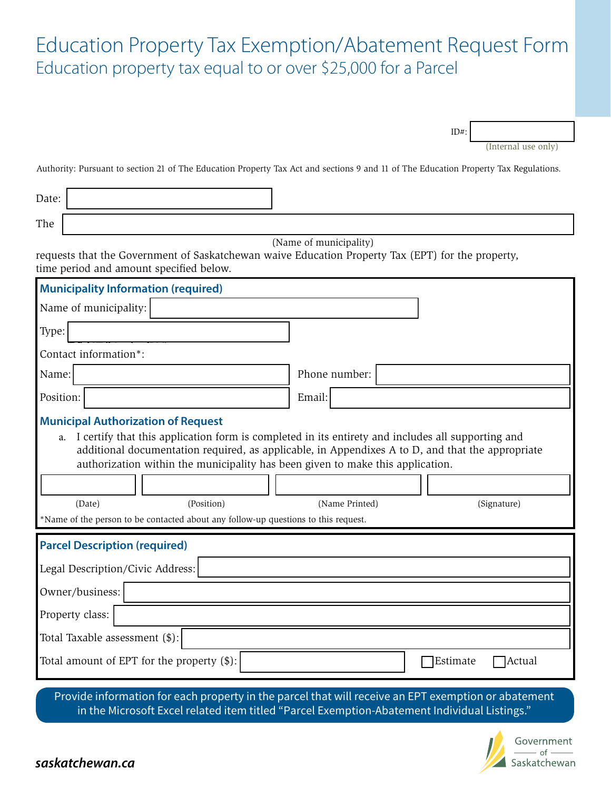## Education Property Tax Exemption/Abatement Request Form Education property tax equal to or over \$25,000 for a Parcel

(Internal use only)

ID#:

Authority: Pursuant to section 21 of The Education Property Tax Act and sections 9 and 11 of The Education Property Tax Regulations.

Date:

The

(Name of municipality)

requests that the Government of Saskatchewan waive Education Property Tax (EPT) for the property, time period and amount specified below.

| <b>Municipality Information (required)</b>                                                                                                                                                                                                                                                                                                                                                                                                                                                |                                                                                                     |
|-------------------------------------------------------------------------------------------------------------------------------------------------------------------------------------------------------------------------------------------------------------------------------------------------------------------------------------------------------------------------------------------------------------------------------------------------------------------------------------------|-----------------------------------------------------------------------------------------------------|
| Name of municipality:                                                                                                                                                                                                                                                                                                                                                                                                                                                                     |                                                                                                     |
| Type:                                                                                                                                                                                                                                                                                                                                                                                                                                                                                     |                                                                                                     |
| Contact information*:                                                                                                                                                                                                                                                                                                                                                                                                                                                                     |                                                                                                     |
| Name:                                                                                                                                                                                                                                                                                                                                                                                                                                                                                     | Phone number:                                                                                       |
| Position:                                                                                                                                                                                                                                                                                                                                                                                                                                                                                 | Email:                                                                                              |
| <b>Municipal Authorization of Request</b><br>I certify that this application form is completed in its entirety and includes all supporting and<br>a.<br>additional documentation required, as applicable, in Appendixes A to D, and that the appropriate<br>authorization within the municipality has been given to make this application.<br>(Date)<br>(Position)<br>(Name Printed)<br>(Signature)<br>*Name of the person to be contacted about any follow-up questions to this request. |                                                                                                     |
| <b>Parcel Description (required)</b><br>Legal Description/Civic Address:<br>Owner/business:<br>Property class:<br>Total Taxable assessment (\$):<br>Total amount of EPT for the property $(\$)$ :                                                                                                                                                                                                                                                                                         | <b>Estimate</b><br><b>Actual</b>                                                                    |
|                                                                                                                                                                                                                                                                                                                                                                                                                                                                                           | Provide information for each property in the parcel that will receive an EPT exemption or abatement |

Provide information for each property in the parcel that will receive an EPT exemption or abatement in the Microsoft Excel related item titled "Parcel Exemption-Abatement Individual Listings."